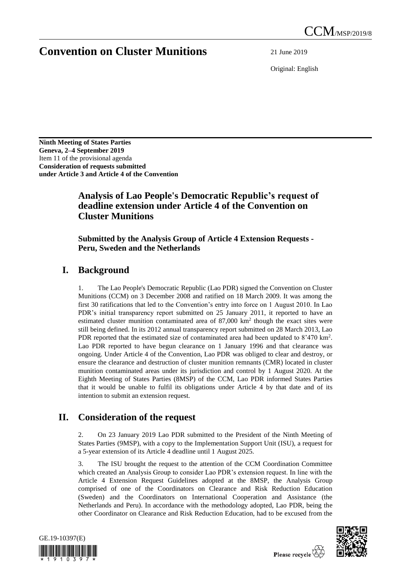# **Convention on Cluster Munitions** 21 June 2019

Original: English

**Ninth Meeting of States Parties Geneva, 2–4 September 2019** Item 11 of the provisional agenda **Consideration of requests submitted under Article 3 and Article 4 of the Convention**

### **Analysis of Lao People's Democratic Republic's request of deadline extension under Article 4 of the Convention on Cluster Munitions**

#### **Submitted by the Analysis Group of Article 4 Extension Requests - Peru, Sweden and the Netherlands**

### **I. Background**

1. The Lao People's Democratic Republic (Lao PDR) signed the Convention on Cluster Munitions (CCM) on 3 December 2008 and ratified on 18 March 2009. It was among the first 30 ratifications that led to the Convention's entry into force on 1 August 2010. In Lao PDR's initial transparency report submitted on 25 January 2011, it reported to have an estimated cluster munition contaminated area of 87,000 km<sup>2</sup> though the exact sites were still being defined. In its 2012 annual transparency report submitted on 28 March 2013, Lao PDR reported that the estimated size of contaminated area had been updated to  $8'470 \text{ km}^2$ . Lao PDR reported to have begun clearance on 1 January 1996 and that clearance was ongoing. Under Article 4 of the Convention, Lao PDR was obliged to clear and destroy, or ensure the clearance and destruction of cluster munition remnants (CMR) located in cluster munition contaminated areas under its jurisdiction and control by 1 August 2020. At the Eighth Meeting of States Parties (8MSP) of the CCM, Lao PDR informed States Parties that it would be unable to fulfil its obligations under Article 4 by that date and of its intention to submit an extension request.

## **II. Consideration of the request**

2. On 23 January 2019 Lao PDR submitted to the President of the Ninth Meeting of States Parties (9MSP), with a copy to the Implementation Support Unit (ISU), a request for a 5-year extension of its Article 4 deadline until 1 August 2025.

3. The ISU brought the request to the attention of the CCM Coordination Committee which created an Analysis Group to consider Lao PDR's extension request. In line with the Article 4 Extension Request Guidelines adopted at the 8MSP, the Analysis Group comprised of one of the Coordinators on Clearance and Risk Reduction Education (Sweden) and the Coordinators on International Cooperation and Assistance (the Netherlands and Peru). In accordance with the methodology adopted, Lao PDR, being the other Coordinator on Clearance and Risk Reduction Education, had to be excused from the



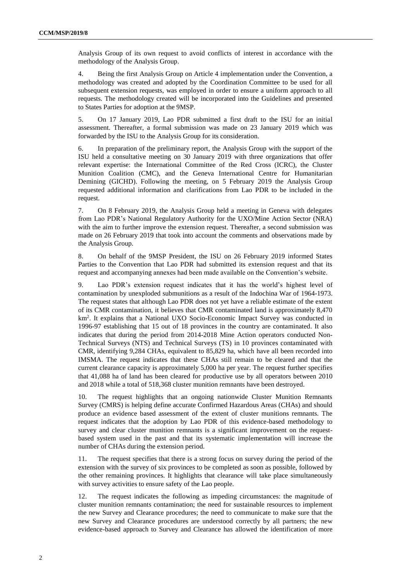Analysis Group of its own request to avoid conflicts of interest in accordance with the methodology of the Analysis Group.

4. Being the first Analysis Group on Article 4 implementation under the Convention, a methodology was created and adopted by the Coordination Committee to be used for all subsequent extension requests, was employed in order to ensure a uniform approach to all requests. The methodology created will be incorporated into the Guidelines and presented to States Parties for adoption at the 9MSP.

5. On 17 January 2019, Lao PDR submitted a first draft to the ISU for an initial assessment. Thereafter, a formal submission was made on 23 January 2019 which was forwarded by the ISU to the Analysis Group for its consideration.

6. In preparation of the preliminary report, the Analysis Group with the support of the ISU held a consultative meeting on 30 January 2019 with three organizations that offer relevant expertise: the International Committee of the Red Cross (ICRC), the Cluster Munition Coalition (CMC), and the Geneva International Centre for Humanitarian Demining (GICHD). Following the meeting, on 5 February 2019 the Analysis Group requested additional information and clarifications from Lao PDR to be included in the request.

7. On 8 February 2019, the Analysis Group held a meeting in Geneva with delegates from Lao PDR's National Regulatory Authority for the UXO/Mine Action Sector (NRA) with the aim to further improve the extension request. Thereafter, a second submission was made on 26 February 2019 that took into account the comments and observations made by the Analysis Group.

8. On behalf of the 9MSP President, the ISU on 26 February 2019 informed States Parties to the Convention that Lao PDR had submitted its extension request and that its request and accompanying annexes had been made available on the Convention's website.

9. Lao PDR's extension request indicates that it has the world's highest level of contamination by unexploded submunitions as a result of the Indochina War of 1964-1973. The request states that although Lao PDR does not yet have a reliable estimate of the extent of its CMR contamination, it believes that CMR contaminated land is approximately 8,470 km<sup>2</sup> . It explains that a National UXO Socio-Economic Impact Survey was conducted in 1996-97 establishing that 15 out of 18 provinces in the country are contaminated. It also indicates that during the period from 2014-2018 Mine Action operators conducted Non-Technical Surveys (NTS) and Technical Surveys (TS) in 10 provinces contaminated with CMR, identifying 9,284 CHAs, equivalent to 85,829 ha, which have all been recorded into IMSMA. The request indicates that these CHAs still remain to be cleared and that the current clearance capacity is approximately 5,000 ha per year. The request further specifies that 41,088 ha of land has been cleared for productive use by all operators between 2010 and 2018 while a total of 518,368 cluster munition remnants have been destroyed.

10. The request highlights that an ongoing nationwide Cluster Munition Remnants Survey (CMRS) is helping define accurate Confirmed Hazardous Areas (CHAs) and should produce an evidence based assessment of the extent of cluster munitions remnants. The request indicates that the adoption by Lao PDR of this evidence-based methodology to survey and clear cluster munition remnants is a significant improvement on the requestbased system used in the past and that its systematic implementation will increase the number of CHAs during the extension period.

11. The request specifies that there is a strong focus on survey during the period of the extension with the survey of six provinces to be completed as soon as possible, followed by the other remaining provinces. It highlights that clearance will take place simultaneously with survey activities to ensure safety of the Lao people.

12. The request indicates the following as impeding circumstances: the magnitude of cluster munition remnants contamination; the need for sustainable resources to implement the new Survey and Clearance procedures; the need to communicate to make sure that the new Survey and Clearance procedures are understood correctly by all partners; the new evidence-based approach to Survey and Clearance has allowed the identification of more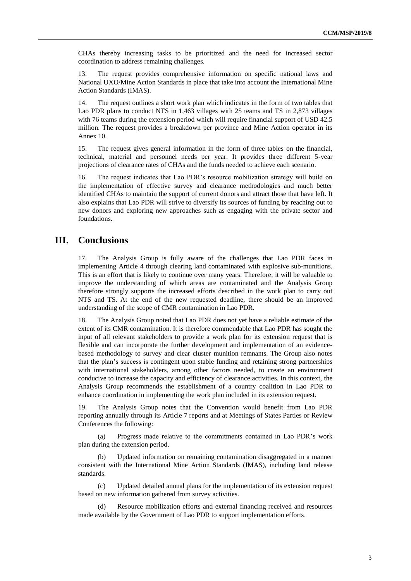CHAs thereby increasing tasks to be prioritized and the need for increased sector coordination to address remaining challenges.

13. The request provides comprehensive information on specific national laws and National UXO/Mine Action Standards in place that take into account the International Mine Action Standards (IMAS).

14. The request outlines a short work plan which indicates in the form of two tables that Lao PDR plans to conduct NTS in 1,463 villages with 25 teams and TS in 2,873 villages with 76 teams during the extension period which will require financial support of USD 42.5 million. The request provides a breakdown per province and Mine Action operator in its Annex 10.

15. The request gives general information in the form of three tables on the financial, technical, material and personnel needs per year. It provides three different 5-year projections of clearance rates of CHAs and the funds needed to achieve each scenario.

16. The request indicates that Lao PDR's resource mobilization strategy will build on the implementation of effective survey and clearance methodologies and much better identified CHAs to maintain the support of current donors and attract those that have left. It also explains that Lao PDR will strive to diversify its sources of funding by reaching out to new donors and exploring new approaches such as engaging with the private sector and foundations.

#### **III. Conclusions**

17. The Analysis Group is fully aware of the challenges that Lao PDR faces in implementing Article 4 through clearing land contaminated with explosive sub-munitions. This is an effort that is likely to continue over many years. Therefore, it will be valuable to improve the understanding of which areas are contaminated and the Analysis Group therefore strongly supports the increased efforts described in the work plan to carry out NTS and TS. At the end of the new requested deadline, there should be an improved understanding of the scope of CMR contamination in Lao PDR.

18. The Analysis Group noted that Lao PDR does not yet have a reliable estimate of the extent of its CMR contamination. It is therefore commendable that Lao PDR has sought the input of all relevant stakeholders to provide a work plan for its extension request that is flexible and can incorporate the further development and implementation of an evidencebased methodology to survey and clear cluster munition remnants. The Group also notes that the plan's success is contingent upon stable funding and retaining strong partnerships with international stakeholders, among other factors needed, to create an environment conducive to increase the capacity and efficiency of clearance activities. In this context, the Analysis Group recommends the establishment of a country coalition in Lao PDR to enhance coordination in implementing the work plan included in its extension request.

19. The Analysis Group notes that the Convention would benefit from Lao PDR reporting annually through its Article 7 reports and at Meetings of States Parties or Review Conferences the following:

(a) Progress made relative to the commitments contained in Lao PDR's work plan during the extension period.

(b) Updated information on remaining contamination disaggregated in a manner consistent with the International Mine Action Standards (IMAS), including land release standards.

(c) Updated detailed annual plans for the implementation of its extension request based on new information gathered from survey activities.

Resource mobilization efforts and external financing received and resources made available by the Government of Lao PDR to support implementation efforts.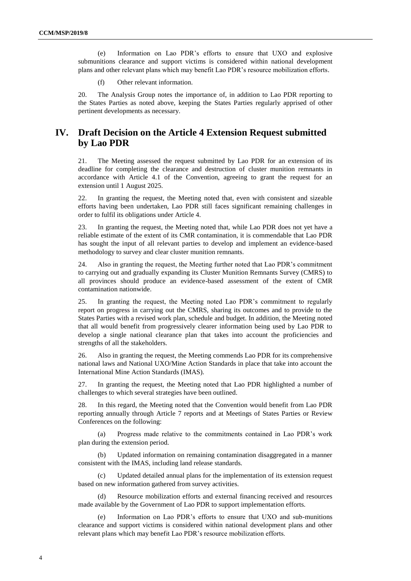(e) Information on Lao PDR's efforts to ensure that UXO and explosive submunitions clearance and support victims is considered within national development plans and other relevant plans which may benefit Lao PDR's resource mobilization efforts.

(f) Other relevant information.

20. The Analysis Group notes the importance of, in addition to Lao PDR reporting to the States Parties as noted above, keeping the States Parties regularly apprised of other pertinent developments as necessary.

### **IV. Draft Decision on the Article 4 Extension Request submitted by Lao PDR**

21. The Meeting assessed the request submitted by Lao PDR for an extension of its deadline for completing the clearance and destruction of cluster munition remnants in accordance with Article 4.1 of the Convention, agreeing to grant the request for an extension until 1 August 2025.

22. In granting the request, the Meeting noted that, even with consistent and sizeable efforts having been undertaken, Lao PDR still faces significant remaining challenges in order to fulfil its obligations under Article 4.

23. In granting the request, the Meeting noted that, while Lao PDR does not yet have a reliable estimate of the extent of its CMR contamination, it is commendable that Lao PDR has sought the input of all relevant parties to develop and implement an evidence-based methodology to survey and clear cluster munition remnants.

24. Also in granting the request, the Meeting further noted that Lao PDR's commitment to carrying out and gradually expanding its Cluster Munition Remnants Survey (CMRS) to all provinces should produce an evidence-based assessment of the extent of CMR contamination nationwide.

25. In granting the request, the Meeting noted Lao PDR's commitment to regularly report on progress in carrying out the CMRS, sharing its outcomes and to provide to the States Parties with a revised work plan, schedule and budget. In addition, the Meeting noted that all would benefit from progressively clearer information being used by Lao PDR to develop a single national clearance plan that takes into account the proficiencies and strengths of all the stakeholders.

26. Also in granting the request, the Meeting commends Lao PDR for its comprehensive national laws and National UXO/Mine Action Standards in place that take into account the International Mine Action Standards (IMAS).

27. In granting the request, the Meeting noted that Lao PDR highlighted a number of challenges to which several strategies have been outlined.

28. In this regard, the Meeting noted that the Convention would benefit from Lao PDR reporting annually through Article 7 reports and at Meetings of States Parties or Review Conferences on the following:

(a) Progress made relative to the commitments contained in Lao PDR's work plan during the extension period.

(b) Updated information on remaining contamination disaggregated in a manner consistent with the IMAS, including land release standards.

Updated detailed annual plans for the implementation of its extension request based on new information gathered from survey activities.

(d) Resource mobilization efforts and external financing received and resources made available by the Government of Lao PDR to support implementation efforts.

(e) Information on Lao PDR's efforts to ensure that UXO and sub-munitions clearance and support victims is considered within national development plans and other relevant plans which may benefit Lao PDR's resource mobilization efforts.